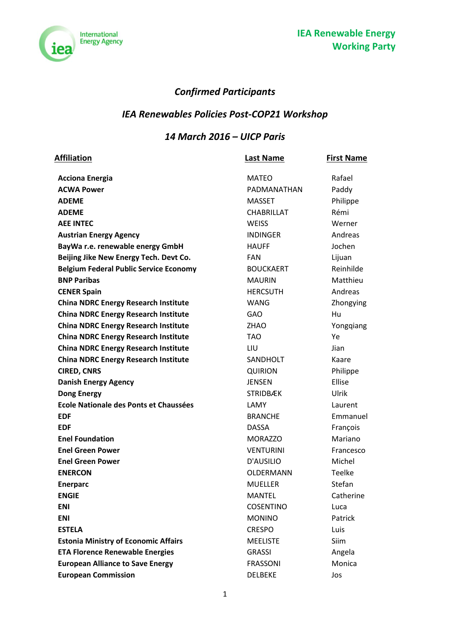

## **Confirmed Participants**

# **IEA Renewables Policies Post-COP21 Workshop**

#### 14 March 2016 - UICP Paris

| Affiliation                                   | <b>Last Name</b>  | <b>First Name</b> |
|-----------------------------------------------|-------------------|-------------------|
| <b>Acciona Energia</b>                        | <b>MATEO</b>      | Rafael            |
| <b>ACWA Power</b>                             | PADMANATHAN       | Paddy             |
| <b>ADEME</b>                                  | <b>MASSET</b>     | Philippe          |
| <b>ADEME</b>                                  | <b>CHABRILLAT</b> | Rémi              |
| <b>AEE INTEC</b>                              | <b>WEISS</b>      | Werner            |
| <b>Austrian Energy Agency</b>                 | <b>INDINGER</b>   | Andreas           |
| BayWa r.e. renewable energy GmbH              | <b>HAUFF</b>      | Jochen            |
| Beijing Jike New Energy Tech. Devt Co.        | <b>FAN</b>        | Lijuan            |
| <b>Belgium Federal Public Service Economy</b> | <b>BOUCKAERT</b>  | Reinhilde         |
| <b>BNP Paribas</b>                            | <b>MAURIN</b>     | Matthieu          |
| <b>CENER Spain</b>                            | <b>HERCSUTH</b>   | Andreas           |
| <b>China NDRC Energy Research Institute</b>   | <b>WANG</b>       | Zhongying         |
| <b>China NDRC Energy Research Institute</b>   | <b>GAO</b>        | Hu                |
| <b>China NDRC Energy Research Institute</b>   | <b>ZHAO</b>       | Yongqiang         |
| <b>China NDRC Energy Research Institute</b>   | <b>TAO</b>        | Ye                |
| <b>China NDRC Energy Research Institute</b>   | LIU               | Jian              |
| <b>China NDRC Energy Research Institute</b>   | <b>SANDHOLT</b>   | Kaare             |
| <b>CIRED, CNRS</b>                            | <b>QUIRION</b>    | Philippe          |
| <b>Danish Energy Agency</b>                   | <b>JENSEN</b>     | Ellise            |
| <b>Dong Energy</b>                            | <b>STRIDBÆK</b>   | Ulrik             |
| Ecole Nationale des Ponts et Chaussées        | LAMY              | Laurent           |
| <b>EDF</b>                                    | <b>BRANCHE</b>    | Emmanuel          |
| <b>EDF</b>                                    | <b>DASSA</b>      | François          |
| <b>Enel Foundation</b>                        | <b>MORAZZO</b>    | Mariano           |
| <b>Enel Green Power</b>                       | <b>VENTURINI</b>  | Francesco         |
| <b>Enel Green Power</b>                       | D'AUSILIO         | Michel            |
| <b>ENERCON</b>                                | OLDERMANN         | <b>Teelke</b>     |
| <b>Enerparc</b>                               | <b>MUELLER</b>    | Stefan            |
| <b>ENGIE</b>                                  | <b>MANTEL</b>     | Catherine         |
| <b>ENI</b>                                    | <b>COSENTINO</b>  | Luca              |
| <b>ENI</b>                                    | <b>MONINO</b>     | Patrick           |
| <b>ESTELA</b>                                 | <b>CRESPO</b>     | Luis              |
| <b>Estonia Ministry of Economic Affairs</b>   | <b>MEELISTE</b>   | Siim              |
| <b>ETA Florence Renewable Energies</b>        | <b>GRASSI</b>     | Angela            |
| <b>European Alliance to Save Energy</b>       | <b>FRASSONI</b>   | Monica            |
| <b>European Commission</b>                    | <b>DELBEKE</b>    | Jos               |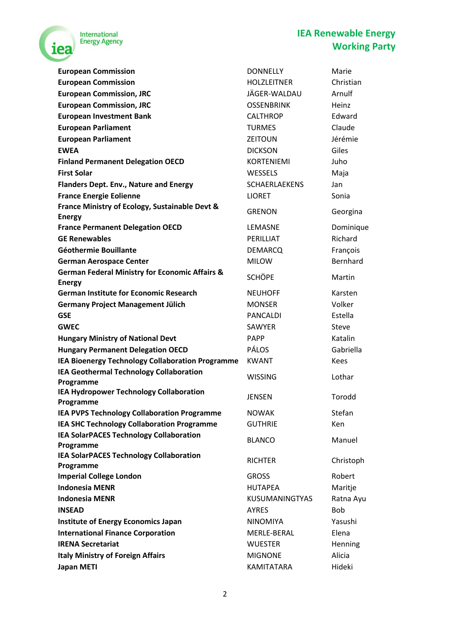

### **IEA Renewable Energy Working Party**

| <b>European Commission</b>                                | <b>DONNELLY</b>       | Marie       |
|-----------------------------------------------------------|-----------------------|-------------|
| <b>European Commission</b>                                | <b>HOLZLEITNER</b>    | Christian   |
| <b>European Commission, JRC</b>                           | JÄGER-WALDAU          | Arnulf      |
| <b>European Commission, JRC</b>                           | <b>OSSENBRINK</b>     | Heinz       |
| <b>European Investment Bank</b>                           | <b>CALTHROP</b>       | Edward      |
| <b>European Parliament</b>                                | <b>TURMES</b>         | Claude      |
| <b>European Parliament</b>                                | <b>ZEITOUN</b>        | Jérémie     |
| <b>EWEA</b>                                               | <b>DICKSON</b>        | Giles       |
| <b>Finland Permanent Delegation OECD</b>                  | <b>KORTENIEMI</b>     | Juho        |
| <b>First Solar</b>                                        | WESSELS               | Maja        |
| Flanders Dept. Env., Nature and Energy                    | <b>SCHAERLAEKENS</b>  | Jan         |
| <b>France Energie Eolienne</b>                            | <b>LIORET</b>         | Sonia       |
| France Ministry of Ecology, Sustainable Devt &            |                       |             |
| <b>Energy</b>                                             | <b>GRENON</b>         | Georgina    |
| <b>France Permanent Delegation OECD</b>                   | LEMASNE               | Dominique   |
| <b>GE Renewables</b>                                      | PERILLIAT             | Richard     |
| Géothermie Bouillante                                     | <b>DEMARCQ</b>        | François    |
| <b>German Aerospace Center</b>                            | <b>MILOW</b>          | Bernhard    |
| <b>German Federal Ministry for Economic Affairs &amp;</b> | <b>SCHÖPE</b>         | Martin      |
| <b>Energy</b>                                             |                       |             |
| <b>German Institute for Economic Research</b>             | <b>NEUHOFF</b>        | Karsten     |
| <b>Germany Project Management Jülich</b>                  | <b>MONSER</b>         | Volker      |
| <b>GSE</b>                                                | <b>PANCALDI</b>       | Estella     |
| <b>GWEC</b>                                               | SAWYER                | Steve       |
| <b>Hungary Ministry of National Devt</b>                  | <b>PAPP</b>           | Katalin     |
| <b>Hungary Permanent Delegation OECD</b>                  | <b>PÁLOS</b>          | Gabriella   |
| IEA Bioenergy Technology Collaboration Programme          | <b>KWANT</b>          | <b>Kees</b> |
| IEA Geothermal Technology Collaboration                   | <b>WISSING</b>        | Lothar      |
| Programme                                                 |                       |             |
| IEA Hydropower Technology Collaboration<br>Programme      | <b>JENSEN</b>         | Torodd      |
| <b>IEA PVPS Technology Collaboration Programme</b>        | <b>NOWAK</b>          | Stefan      |
| <b>IEA SHC Technology Collaboration Programme</b>         | <b>GUTHRIE</b>        | Ken         |
| <b>IEA SolarPACES Technology Collaboration</b>            |                       |             |
| Programme                                                 | <b>BLANCO</b>         | Manuel      |
| <b>IEA SolarPACES Technology Collaboration</b>            |                       |             |
| Programme                                                 | <b>RICHTER</b>        | Christoph   |
| <b>Imperial College London</b>                            | <b>GROSS</b>          | Robert      |
| <b>Indonesia MENR</b>                                     | <b>HUTAPEA</b>        | Maritje     |
| <b>Indonesia MENR</b>                                     | <b>KUSUMANINGTYAS</b> | Ratna Ayu   |
| <b>INSEAD</b>                                             | <b>AYRES</b>          | <b>Bob</b>  |
| <b>Institute of Energy Economics Japan</b>                | <b>NINOMIYA</b>       | Yasushi     |
| <b>International Finance Corporation</b>                  | MERLE-BERAL           | Elena       |
| <b>IRENA Secretariat</b>                                  | <b>WUESTER</b>        | Henning     |
| <b>Italy Ministry of Foreign Affairs</b>                  | <b>MIGNONE</b>        | Alicia      |
| <b>Japan METI</b>                                         | KAMITATARA            | Hideki      |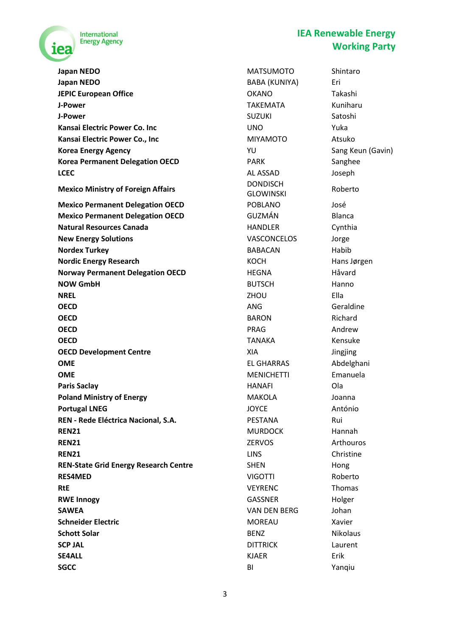

**IEA Renewable Energy Working Party**

**Japan NEDO** Shintaro **MATSUMOTO** Shintaro **Japan NEDO** BABA (KUNIYA) Eri **JEPIC European Office Canadian Contract Contract COKANO** Takashi **J-Power** TAKEMATA Kuniharu **J-Power** Suzuki Satoshi **Kansai Electric Power Co. Inc Co. Incrementation Co. Co. Incrementation Co. Inc** Vuka **Kansai Electric Power Co., Inc Server Atsuko Atsuko MIYAMOTO** Atsuko **Korea Energy Agency Contract Contract Contract Contract Contract Contract Contract Contract Contract Contract Contract Contract Contract Contract Contract Contract Contract Contract Contract Contract Contract Contract C Korea Permanent Delegation OECD PARK** PARK Sanghee **LCEC** Joseph **AL ASSAD** Joseph **Mexico Ministry of Foreign Affairs DONDISCH Mexico Permanent Delegation OECD** POBLANO José **Mexico Permanent Delegation OECD** GUZMÁN Blanca **Natural Resources Canada HANDLER** Cynthia **New Energy Solutions VASCONCELOS** Jorge **Nordex Turkey** BABACAN Habib **Nordic Energy Research Nordic Energy Research Hans Jørgen** KOCH Hans Jørgen **Norway Permanent Delegation OECD** HEGNA Håvard **NOW GmbH BUTSCH** Hanno **NREL** Ella **OECD** Geraldine **OECD BARON BARON Richard OECD** Andrew **PRAG** Andrew **OECD TANAKA** Kensuke **OECD Development Centre** XIA Jingjing **OME EL GHARRAS** Abdelghani **OME** Emanuela **COME COME COME COME COME Paris Saclay** HANAFI Ola **Poland Ministry of Energy Service State Control MAKOLA** Joanna **Portugal LNEG** António **REN - Rede Eléctrica Nacional, S.A.** PESTANA Rui **REN21** Hannah **REN21** Arthouros **REN21 ZERVOS** *Arthouros* **REN21** Christine **REN-State Grid Energy Research Centre** SHEN SHEN Hong **RES4MED** Roberto **RtE RTE** *RTE* **RTE** *RTE RTE RTE RTE RTE RTE RTE RTE* **RWE Innogy GASSNER** Holger **SAWEA** Johan **SAWEA** VAN DEN BERG Johan **Schneider Electric MOREAU** MOREAU Xavier **Schott Solar Community Community Community BENZ** Rikolaus **SCP JAL** Laurent **SE4ALL** KJAER Erik **SGCC** BI Yanqiu

GLOWINSKI Roberto